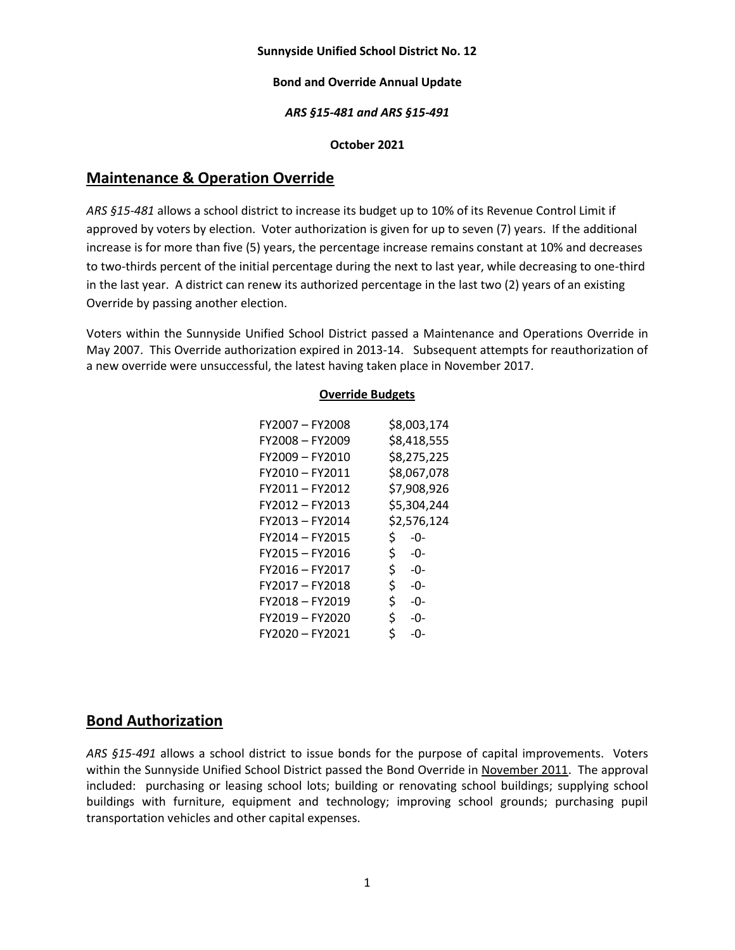### **Sunnyside Unified School District No. 12**

### **Bond and Override Annual Update**

### *ARS §15-481 and ARS §15-491*

### **October 2021**

## **Maintenance & Operation Override**

*ARS §15-481* allows a school district to increase its budget up to 10% of its Revenue Control Limit if approved by voters by election. Voter authorization is given for up to seven (7) years. If the additional increase is for more than five (5) years, the percentage increase remains constant at 10% and decreases to two-thirds percent of the initial percentage during the next to last year, while decreasing to one-third in the last year. A district can renew its authorized percentage in the last two (2) years of an existing Override by passing another election.

Voters within the Sunnyside Unified School District passed a Maintenance and Operations Override in May 2007. This Override authorization expired in 2013-14. Subsequent attempts for reauthorization of a new override were unsuccessful, the latest having taken place in November 2017.

### **Override Budgets**

| FY2007 - FY2008 | \$8,003,174 |
|-----------------|-------------|
| FY2008-FY2009   | \$8,418,555 |
| FY2009-FY2010   | \$8,275,225 |
| FY2010 - FY2011 | \$8,067,078 |
| FY2011-FY2012   | \$7,908,926 |
| FY2012 - FY2013 | \$5,304,244 |
| FY2013 - FY2014 | \$2,576,124 |
| FY2014 - FY2015 | \$.<br>-0-  |
| FY2015 - FY2016 | \$<br>-0-   |
| FY2016 - FY2017 | \$<br>-0-   |
| FY2017 - FY2018 | \$.<br>-0-  |
| FY2018 - FY2019 | \$<br>-0-   |
| FY2019-FY2020   | \$.<br>-0-  |
| FY2020 - FY2021 | \$<br>-0-   |

# **Bond Authorization**

*ARS §15-491* allows a school district to issue bonds for the purpose of capital improvements. Voters within the Sunnyside Unified School District passed the Bond Override in November 2011. The approval included: purchasing or leasing school lots; building or renovating school buildings; supplying school buildings with furniture, equipment and technology; improving school grounds; purchasing pupil transportation vehicles and other capital expenses.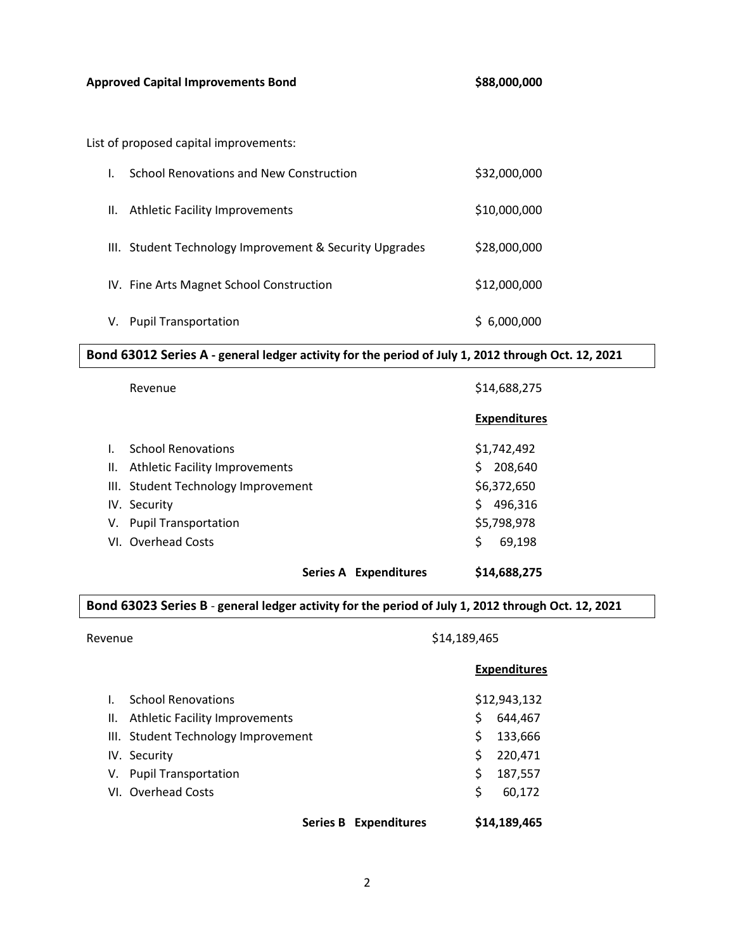List of proposed capital improvements:

|    | School Renovations and New Construction                 | \$32,000,000 |
|----|---------------------------------------------------------|--------------|
| Н. | <b>Athletic Facility Improvements</b>                   | \$10,000,000 |
|    | III. Student Technology Improvement & Security Upgrades | \$28,000,000 |
|    | IV. Fine Arts Magnet School Construction                | \$12,000,000 |
| V. | <b>Pupil Transportation</b>                             | 6,000,000    |

**Bond 63012 Series A - general ledger activity for the period of July 1, 2012 through Oct. 12, 2021**

|              | Revenue                             | \$14,688,275        |
|--------------|-------------------------------------|---------------------|
|              |                                     | <b>Expenditures</b> |
| $\mathbf{L}$ | <b>School Renovations</b>           | \$1,742,492         |
|              | II. Athletic Facility Improvements  | Ś.<br>208,640       |
|              | III. Student Technology Improvement | \$6,372,650         |
|              | IV. Security                        | Ś<br>496,316        |
|              | V. Pupil Transportation             | \$5,798,978         |
|              | VI. Overhead Costs                  | \$<br>69,198        |
|              | Series A Expenditures               | \$14,688,275        |

## **Bond 63023 Series B** - **general ledger activity for the period of July 1, 2012 through Oct. 12, 2021**

Revenue \$14,189,465

|    |                                     | <b>Expenditures</b> |
|----|-------------------------------------|---------------------|
| L. | <b>School Renovations</b>           | \$12,943,132        |
|    | II. Athletic Facility Improvements  | \$<br>644,467       |
|    | III. Student Technology Improvement | 133,666<br>Ś        |
|    | IV. Security                        | \$<br>220,471       |
|    | V. Pupil Transportation             | \$<br>187,557       |
|    | VI. Overhead Costs                  | Ś<br>60,172         |
|    | Series B Expenditures               | \$14,189,465        |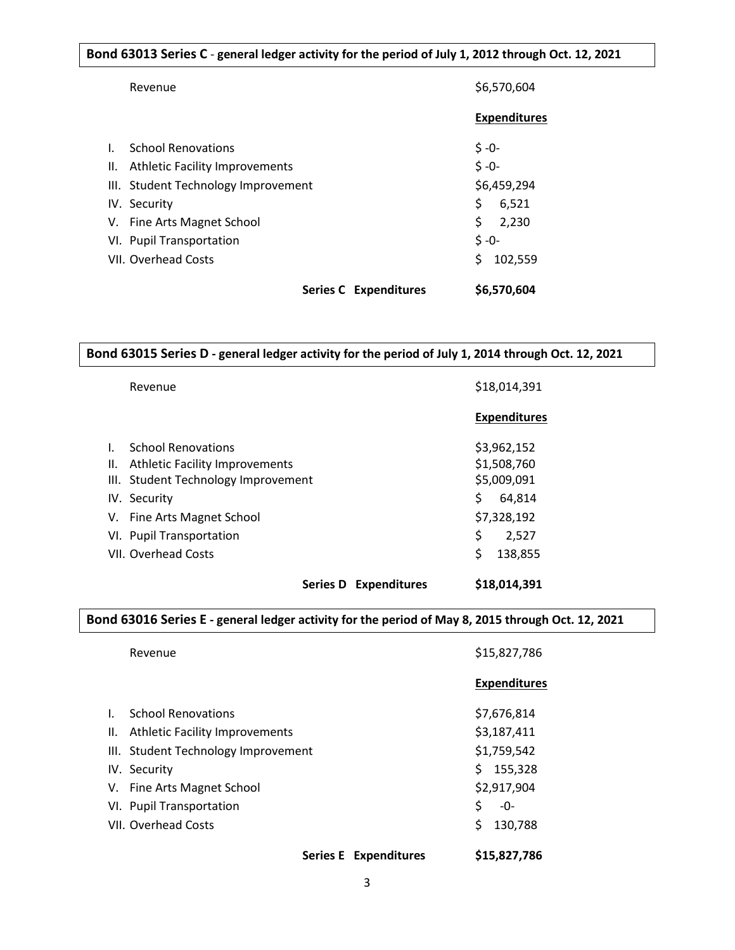## **Bond 63013 Series C** - **general ledger activity for the period of July 1, 2012 through Oct. 12, 2021**

|              | Revenue                             | \$6,570,604         |
|--------------|-------------------------------------|---------------------|
|              |                                     | <b>Expenditures</b> |
| $\mathbf{L}$ | <b>School Renovations</b>           | $$ -0-$             |
|              | II. Athletic Facility Improvements  | $5 - 0 -$           |
|              | III. Student Technology Improvement | \$6,459,294         |
|              | IV. Security                        | \$<br>6,521         |
|              | V. Fine Arts Magnet School          | \$<br>2,230         |
|              | VI. Pupil Transportation            | $$ -0-$             |
|              | <b>VII. Overhead Costs</b>          | 102,559             |
|              | Series C Expenditures               | \$6,570,604         |

**Bond 63015 Series D - general ledger activity for the period of July 1, 2014 through Oct. 12, 2021**

|              | Revenue                                | \$18,014,391        |
|--------------|----------------------------------------|---------------------|
|              |                                        | <b>Expenditures</b> |
| $\mathbf{L}$ | <b>School Renovations</b>              | \$3,962,152         |
| II.          | <b>Athletic Facility Improvements</b>  | \$1,508,760         |
|              | III. Student Technology Improvement    | \$5,009,091         |
|              | IV. Security                           | \$<br>64,814        |
|              | V. Fine Arts Magnet School             | \$7,328,192         |
|              | VI. Pupil Transportation               | \$<br>2,527         |
|              | VII. Overhead Costs                    | \$<br>138,855       |
|              | <b>Series D</b><br><b>Expenditures</b> | \$18,014.391        |

## **Bond 63016 Series E - general ledger activity for the period of May 8, 2015 through Oct. 12, 2021**

|              | Revenue                             | \$15,827,786        |  |
|--------------|-------------------------------------|---------------------|--|
|              |                                     | <b>Expenditures</b> |  |
| $\mathbf{L}$ | <b>School Renovations</b>           | \$7,676,814         |  |
|              | II. Athletic Facility Improvements  | \$3,187,411         |  |
|              | III. Student Technology Improvement | \$1,759,542         |  |
|              | IV. Security                        | \$155,328           |  |
|              | V. Fine Arts Magnet School          | \$2,917,904         |  |
|              | VI. Pupil Transportation            | \$<br>-0-           |  |
|              | VII. Overhead Costs                 | \$<br>130,788       |  |
|              | <b>Series E Expenditures</b>        | \$15,827,786        |  |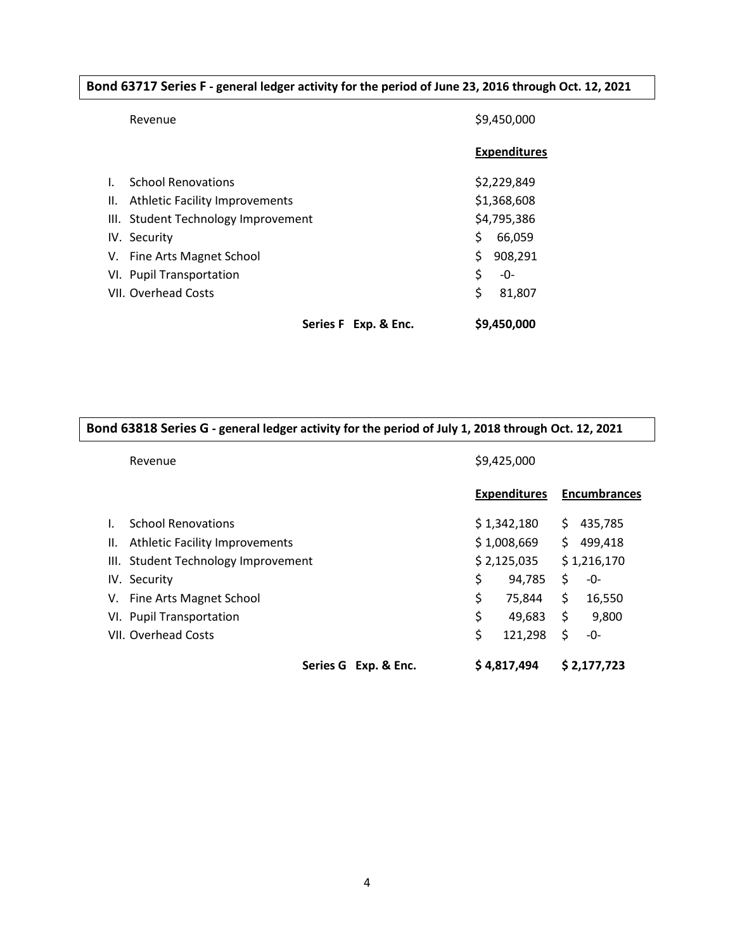|  |  |  | Bond 63717 Series F - general ledger activity for the period of June 23, 2016 through Oct. 12, 2021 |
|--|--|--|-----------------------------------------------------------------------------------------------------|
|--|--|--|-----------------------------------------------------------------------------------------------------|

|     | Revenue                               |    | \$9,450,000         |  |
|-----|---------------------------------------|----|---------------------|--|
|     |                                       |    | <b>Expenditures</b> |  |
|     | <b>School Renovations</b>             |    | \$2,229,849         |  |
| II. | <b>Athletic Facility Improvements</b> |    | \$1,368,608         |  |
|     | III. Student Technology Improvement   |    | \$4,795,386         |  |
|     | IV. Security                          | Ś. | 66,059              |  |
|     | V. Fine Arts Magnet School            | \$ | 908,291             |  |
|     | VI. Pupil Transportation              | \$ | -0-                 |  |
|     | VII. Overhead Costs                   | \$ | 81,807              |  |
|     | Series F Exp. & Enc.                  |    | \$9,450,000         |  |

|                                             | Bond 63818 Series G - general ledger activity for the period of July 1, 2018 through Oct. 12, 2021 |                     |  |  |  |  |
|---------------------------------------------|----------------------------------------------------------------------------------------------------|---------------------|--|--|--|--|
| Revenue                                     | \$9,425,000                                                                                        |                     |  |  |  |  |
|                                             | <b>Expenditures</b>                                                                                | <b>Encumbrances</b> |  |  |  |  |
| <b>School Renovations</b>                   | \$1,342,180                                                                                        | 435,785<br>\$.      |  |  |  |  |
| <b>Athletic Facility Improvements</b><br>Ш. | \$1,008,669                                                                                        | \$<br>499,418       |  |  |  |  |
| III. Student Technology Improvement         | \$2,125,035                                                                                        | \$1,216,170         |  |  |  |  |
| IV. Security                                | \$<br>94,785                                                                                       | \$<br>-0-           |  |  |  |  |
| V. Fine Arts Magnet School                  | \$<br>75,844                                                                                       | \$<br>16,550        |  |  |  |  |
| VI. Pupil Transportation                    | \$<br>49,683                                                                                       | \$<br>9,800         |  |  |  |  |
| VII. Overhead Costs                         | \$<br>121,298                                                                                      | \$<br>-0-           |  |  |  |  |
| Series G Exp. & Enc.                        | \$4,817,494                                                                                        | \$2,177,723         |  |  |  |  |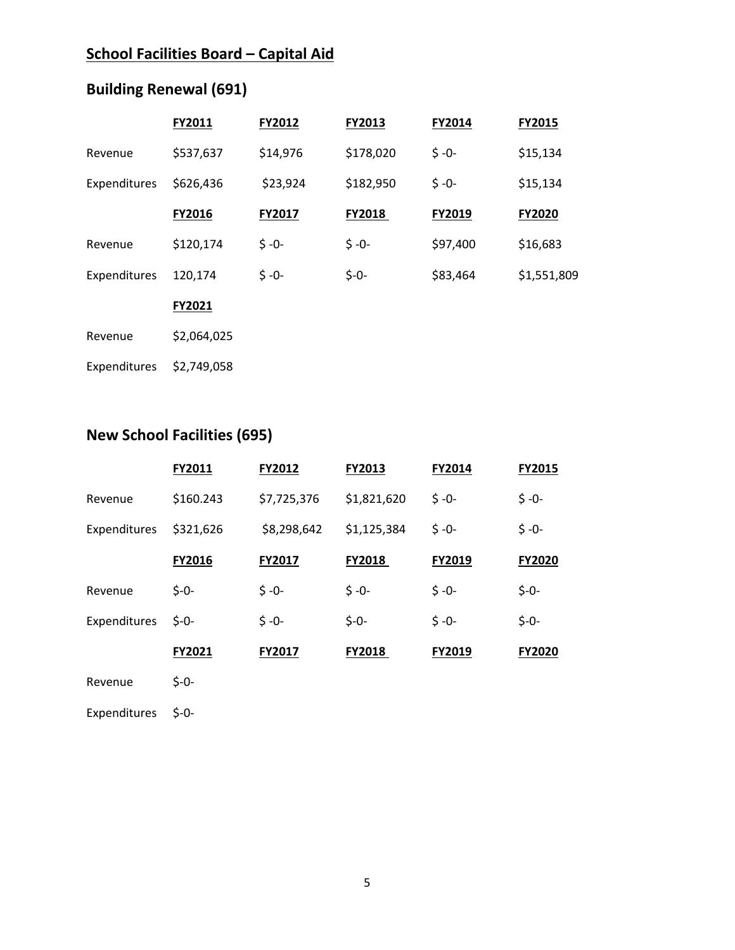# **School Facilities Board – Capital Aid**

# **Building Renewal (691)**

|              | FY2011      | FY2012   | FY2013    | FY2014   | FY2015      |
|--------------|-------------|----------|-----------|----------|-------------|
| Revenue      | \$537,637   | \$14,976 | \$178,020 | $$ -0-$  | \$15,134    |
| Expenditures | \$626,436   | \$23,924 | \$182,950 | $$ -0-$  | \$15,134    |
|              | FY2016      | FY2017   | FY2018    | FY2019   | FY2020      |
| Revenue      | \$120,174   | $$ -0-$  | $$ -0-$   | \$97,400 | \$16,683    |
| Expenditures | 120,174     | $$ -0-$  | $$ -0-$   | \$83,464 | \$1,551,809 |
|              | FY2021      |          |           |          |             |
| Revenue      | \$2,064,025 |          |           |          |             |
| Expenditures | \$2,749,058 |          |           |          |             |

# **New School Facilities (695)**

|              | FY2011    | <b>FY2012</b> | FY2013        | FY2014    | <b>FY2015</b> |
|--------------|-----------|---------------|---------------|-----------|---------------|
| Revenue      | \$160.243 | \$7,725,376   | \$1,821,620   | $5 - 0 -$ | $$ -0-$       |
| Expenditures | \$321,626 | \$8,298,642   | \$1,125,384   | $$ -0-$   | $$ -0-$       |
|              | FY2016    | <b>FY2017</b> | <b>FY2018</b> | FY2019    | <b>FY2020</b> |
| Revenue      | $$ -0-$   | $5 - 0 -$     | $$ -0-$       | $$ -0-$   | $$ -0-$       |
| Expenditures | $5 - 0 -$ | $5 - 0 -$     | $$ -0-$       | $5 - 0 -$ | $$ -0-$       |
|              | FY2021    | FY2017        | <b>FY2018</b> | FY2019    | FY2020        |
| Revenue      | $S - 0 -$ |               |               |           |               |

Expenditures \$-0-